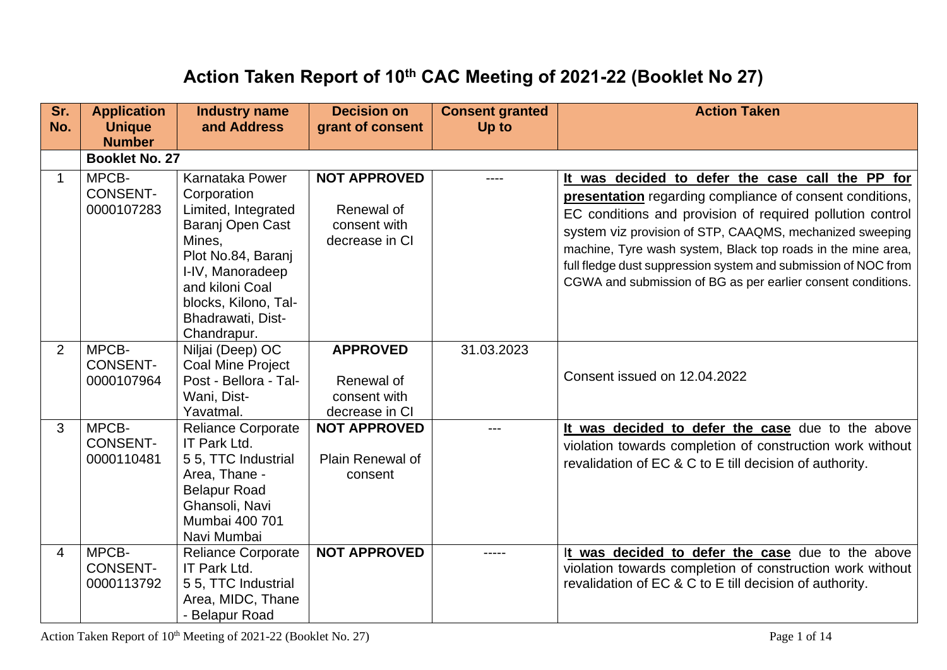## **Action Taken Report of 10th CAC Meeting of 2021-22 (Booklet No 27)**

| Sr.<br>No.     | <b>Application</b><br><b>Unique</b><br><b>Number</b> | <b>Industry name</b><br>and Address                                                                                                                                                                          | <b>Decision on</b><br>grant of consent                              | <b>Consent granted</b><br>Up to | <b>Action Taken</b>                                                                                                                                                                                                                                                                                                                                                                                                                     |
|----------------|------------------------------------------------------|--------------------------------------------------------------------------------------------------------------------------------------------------------------------------------------------------------------|---------------------------------------------------------------------|---------------------------------|-----------------------------------------------------------------------------------------------------------------------------------------------------------------------------------------------------------------------------------------------------------------------------------------------------------------------------------------------------------------------------------------------------------------------------------------|
|                | <b>Booklet No. 27</b>                                |                                                                                                                                                                                                              |                                                                     |                                 |                                                                                                                                                                                                                                                                                                                                                                                                                                         |
| $\mathbf 1$    | MPCB-<br><b>CONSENT-</b><br>0000107283               | Karnataka Power<br>Corporation<br>Limited, Integrated<br>Baranj Open Cast<br>Mines,<br>Plot No.84, Baranj<br>I-IV, Manoradeep<br>and kiloni Coal<br>blocks, Kilono, Tal-<br>Bhadrawati, Dist-<br>Chandrapur. | <b>NOT APPROVED</b><br>Renewal of<br>consent with<br>decrease in CI |                                 | It was decided to defer the case call the PP for<br>presentation regarding compliance of consent conditions,<br>EC conditions and provision of required pollution control<br>system viz provision of STP, CAAQMS, mechanized sweeping<br>machine, Tyre wash system, Black top roads in the mine area,<br>full fledge dust suppression system and submission of NOC from<br>CGWA and submission of BG as per earlier consent conditions. |
| 2              | MPCB-<br><b>CONSENT-</b><br>0000107964               | Niljai (Deep) OC<br><b>Coal Mine Project</b><br>Post - Bellora - Tal-<br>Wani, Dist-<br>Yavatmal.                                                                                                            | <b>APPROVED</b><br>Renewal of<br>consent with<br>decrease in CI     | 31.03.2023                      | Consent issued on 12.04.2022                                                                                                                                                                                                                                                                                                                                                                                                            |
| 3              | MPCB-<br><b>CONSENT-</b><br>0000110481               | <b>Reliance Corporate</b><br>IT Park Ltd.<br>55, TTC Industrial<br>Area, Thane -<br><b>Belapur Road</b><br>Ghansoli, Navi<br>Mumbai 400 701<br>Navi Mumbai                                                   | <b>NOT APPROVED</b><br>Plain Renewal of<br>consent                  |                                 | It was decided to defer the case due to the above<br>violation towards completion of construction work without<br>revalidation of EC & C to E till decision of authority.                                                                                                                                                                                                                                                               |
| $\overline{4}$ | MPCB-<br><b>CONSENT-</b><br>0000113792               | <b>Reliance Corporate</b><br>IT Park Ltd.<br>5 5, TTC Industrial<br>Area, MIDC, Thane<br><b>Belapur Road</b>                                                                                                 | <b>NOT APPROVED</b>                                                 | -----                           | It was decided to defer the case due to the above<br>violation towards completion of construction work without<br>revalidation of EC & C to E till decision of authority.                                                                                                                                                                                                                                                               |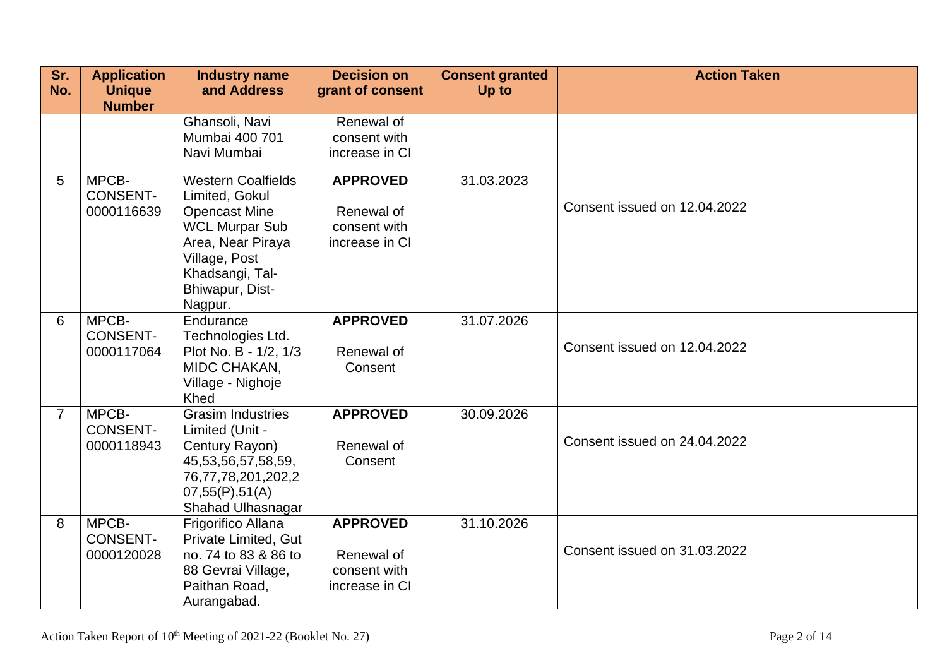| Sr.<br>No.     | <b>Application</b><br><b>Unique</b><br><b>Number</b> | <b>Industry name</b><br>and Address                                                                                                                                                 | <b>Decision on</b><br>grant of consent                          | <b>Consent granted</b><br>Up to | <b>Action Taken</b>          |
|----------------|------------------------------------------------------|-------------------------------------------------------------------------------------------------------------------------------------------------------------------------------------|-----------------------------------------------------------------|---------------------------------|------------------------------|
|                |                                                      | Ghansoli, Navi<br>Mumbai 400 701<br>Navi Mumbai                                                                                                                                     | Renewal of<br>consent with<br>increase in CI                    |                                 |                              |
| 5              | MPCB-<br><b>CONSENT-</b><br>0000116639               | <b>Western Coalfields</b><br>Limited, Gokul<br><b>Opencast Mine</b><br><b>WCL Murpar Sub</b><br>Area, Near Piraya<br>Village, Post<br>Khadsangi, Tal-<br>Bhiwapur, Dist-<br>Nagpur. | <b>APPROVED</b><br>Renewal of<br>consent with<br>increase in CI | 31.03.2023                      | Consent issued on 12.04.2022 |
| 6              | MPCB-<br><b>CONSENT-</b><br>0000117064               | Endurance<br>Technologies Ltd.<br>Plot No. B - 1/2, 1/3<br>MIDC CHAKAN,<br>Village - Nighoje<br>Khed                                                                                | <b>APPROVED</b><br>Renewal of<br>Consent                        | 31.07.2026                      | Consent issued on 12.04.2022 |
| $\overline{7}$ | MPCB-<br><b>CONSENT-</b><br>0000118943               | <b>Grasim Industries</b><br>Limited (Unit -<br>Century Rayon)<br>45,53,56,57,58,59,<br>76,77,78,201,202,2<br>07,55(P),51(A)<br>Shahad Ulhasnagar                                    | <b>APPROVED</b><br>Renewal of<br>Consent                        | 30.09.2026                      | Consent issued on 24.04.2022 |
| 8              | MPCB-<br><b>CONSENT-</b><br>0000120028               | Frigorifico Allana<br>Private Limited, Gut<br>no. 74 to 83 & 86 to<br>88 Gevrai Village,<br>Paithan Road,<br>Aurangabad.                                                            | <b>APPROVED</b><br>Renewal of<br>consent with<br>increase in CI | 31.10.2026                      | Consent issued on 31,03,2022 |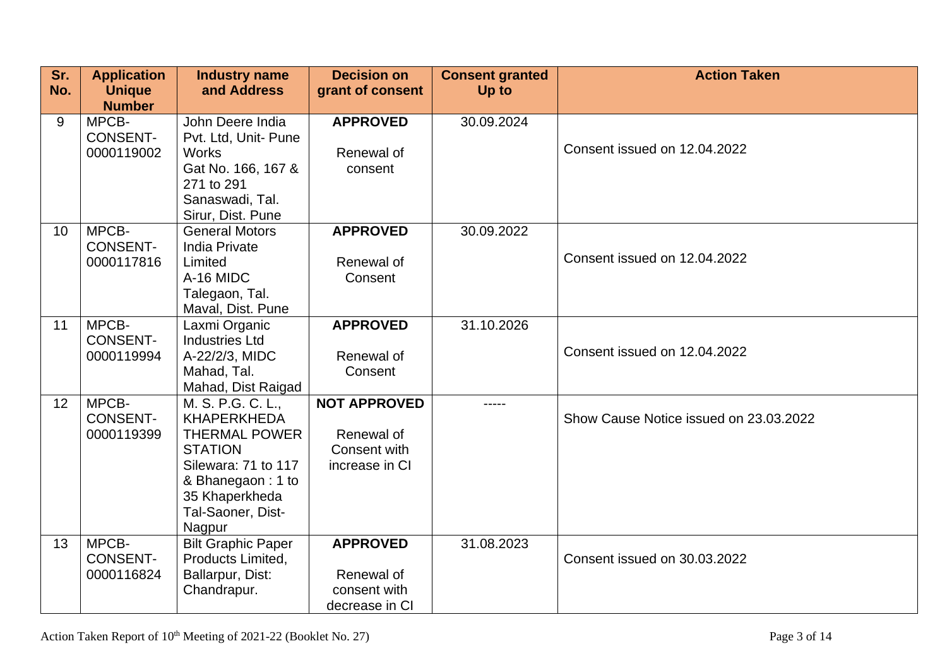| Sr.<br>No.      | <b>Application</b><br><b>Unique</b><br><b>Number</b> | <b>Industry name</b><br>and Address           | <b>Decision on</b><br>grant of consent | <b>Consent granted</b><br>Up to | <b>Action Taken</b>                    |
|-----------------|------------------------------------------------------|-----------------------------------------------|----------------------------------------|---------------------------------|----------------------------------------|
| 9               | MPCB-<br><b>CONSENT-</b>                             | John Deere India<br>Pvt. Ltd, Unit- Pune      | <b>APPROVED</b>                        | 30.09.2024                      |                                        |
|                 | 0000119002                                           | <b>Works</b>                                  | Renewal of                             |                                 | Consent issued on 12.04.2022           |
|                 |                                                      | Gat No. 166, 167 &<br>271 to 291              | consent                                |                                 |                                        |
|                 |                                                      | Sanaswadi, Tal.<br>Sirur, Dist. Pune          |                                        |                                 |                                        |
| 10 <sup>°</sup> | MPCB-<br><b>CONSENT-</b>                             | <b>General Motors</b><br><b>India Private</b> | <b>APPROVED</b>                        | 30.09.2022                      |                                        |
|                 | 0000117816                                           | Limited                                       | Renewal of                             |                                 | Consent issued on 12.04.2022           |
|                 |                                                      | A-16 MIDC                                     | Consent                                |                                 |                                        |
|                 |                                                      | Talegaon, Tal.<br>Maval, Dist. Pune           |                                        |                                 |                                        |
| 11              | MPCB-                                                | Laxmi Organic                                 | <b>APPROVED</b>                        | 31.10.2026                      |                                        |
|                 | <b>CONSENT-</b>                                      | <b>Industries Ltd</b>                         |                                        |                                 | Consent issued on 12.04.2022           |
|                 | 0000119994                                           | A-22/2/3, MIDC<br>Mahad, Tal.                 | Renewal of<br>Consent                  |                                 |                                        |
|                 |                                                      | Mahad, Dist Raigad                            |                                        |                                 |                                        |
| 12 <sup>°</sup> | MPCB-                                                | M. S. P.G. C. L.,                             | <b>NOT APPROVED</b>                    | -----                           |                                        |
|                 | <b>CONSENT-</b>                                      | <b>KHAPERKHEDA</b>                            |                                        |                                 | Show Cause Notice issued on 23.03.2022 |
|                 | 0000119399                                           | <b>THERMAL POWER</b>                          | Renewal of                             |                                 |                                        |
|                 |                                                      | <b>STATION</b><br>Silewara: 71 to 117         | Consent with<br>increase in CI         |                                 |                                        |
|                 |                                                      | & Bhanegaon: 1 to                             |                                        |                                 |                                        |
|                 |                                                      | 35 Khaperkheda                                |                                        |                                 |                                        |
|                 |                                                      | Tal-Saoner, Dist-                             |                                        |                                 |                                        |
|                 |                                                      | Nagpur                                        |                                        |                                 |                                        |
| 13              | MPCB-                                                | <b>Bilt Graphic Paper</b>                     | <b>APPROVED</b>                        | 31.08.2023                      |                                        |
|                 | <b>CONSENT-</b>                                      | Products Limited,                             |                                        |                                 | Consent issued on 30.03.2022           |
|                 | 0000116824                                           | Ballarpur, Dist:<br>Chandrapur.               | Renewal of<br>consent with             |                                 |                                        |
|                 |                                                      |                                               | decrease in CI                         |                                 |                                        |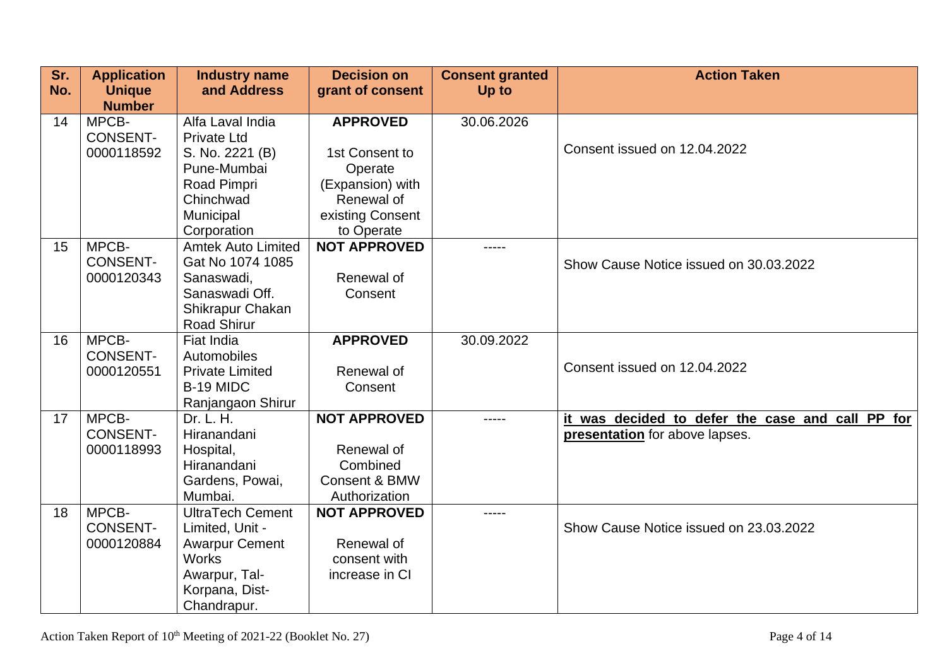| Sr. | <b>Application</b>             | <b>Industry name</b>      | <b>Decision on</b>       | <b>Consent granted</b> | <b>Action Taken</b>                              |
|-----|--------------------------------|---------------------------|--------------------------|------------------------|--------------------------------------------------|
| No. | <b>Unique</b><br><b>Number</b> | and Address               | grant of consent         | Up to                  |                                                  |
| 14  | MPCB-                          | Alfa Laval India          | <b>APPROVED</b>          | 30.06.2026             |                                                  |
|     | <b>CONSENT-</b>                | <b>Private Ltd</b>        |                          |                        |                                                  |
|     | 0000118592                     | S. No. 2221 (B)           | 1st Consent to           |                        | Consent issued on 12.04.2022                     |
|     |                                | Pune-Mumbai               | Operate                  |                        |                                                  |
|     |                                | Road Pimpri               | (Expansion) with         |                        |                                                  |
|     |                                | Chinchwad                 | Renewal of               |                        |                                                  |
|     |                                | Municipal                 | existing Consent         |                        |                                                  |
|     |                                | Corporation               | to Operate               |                        |                                                  |
| 15  | MPCB-                          | <b>Amtek Auto Limited</b> | <b>NOT APPROVED</b>      | -----                  |                                                  |
|     | <b>CONSENT-</b>                | Gat No 1074 1085          |                          |                        | Show Cause Notice issued on 30.03.2022           |
|     | 0000120343                     | Sanaswadi,                | Renewal of               |                        |                                                  |
|     |                                | Sanaswadi Off.            | Consent                  |                        |                                                  |
|     |                                | Shikrapur Chakan          |                          |                        |                                                  |
|     |                                | <b>Road Shirur</b>        |                          |                        |                                                  |
| 16  | MPCB-                          | Fiat India                | <b>APPROVED</b>          | 30.09.2022             |                                                  |
|     | <b>CONSENT-</b>                | Automobiles               |                          |                        | Consent issued on 12.04.2022                     |
|     | 0000120551                     | <b>Private Limited</b>    | Renewal of               |                        |                                                  |
|     |                                | B-19 MIDC                 | Consent                  |                        |                                                  |
|     |                                | Ranjangaon Shirur         |                          |                        |                                                  |
| 17  | MPCB-<br><b>CONSENT-</b>       | Dr. L. H.<br>Hiranandani  | <b>NOT APPROVED</b>      | -----                  | it was decided to defer the case and call PP for |
|     | 0000118993                     |                           | Renewal of               |                        | presentation for above lapses.                   |
|     |                                | Hospital,<br>Hiranandani  | Combined                 |                        |                                                  |
|     |                                | Gardens, Powai,           | <b>Consent &amp; BMW</b> |                        |                                                  |
|     |                                | Mumbai.                   | Authorization            |                        |                                                  |
| 18  | MPCB-                          | <b>UltraTech Cement</b>   | <b>NOT APPROVED</b>      | -----                  |                                                  |
|     | <b>CONSENT-</b>                | Limited, Unit -           |                          |                        | Show Cause Notice issued on 23.03.2022           |
|     | 0000120884                     | <b>Awarpur Cement</b>     | Renewal of               |                        |                                                  |
|     |                                | <b>Works</b>              | consent with             |                        |                                                  |
|     |                                | Awarpur, Tal-             | increase in CI           |                        |                                                  |
|     |                                | Korpana, Dist-            |                          |                        |                                                  |
|     |                                | Chandrapur.               |                          |                        |                                                  |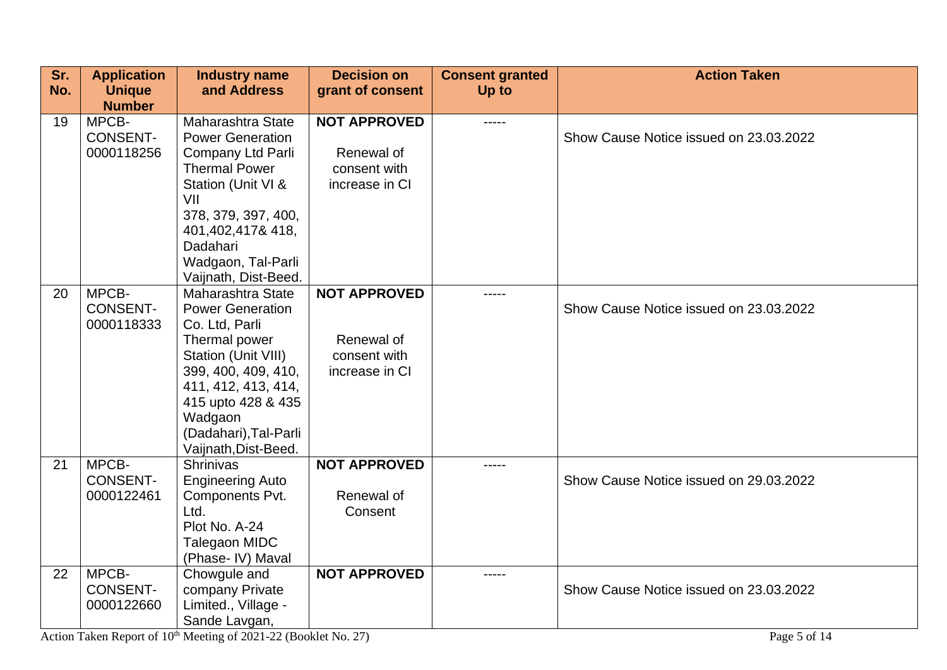| Sr. | <b>Application</b> | <b>Industry name</b>                          | <b>Decision on</b>  | <b>Consent granted</b> | <b>Action Taken</b>                    |
|-----|--------------------|-----------------------------------------------|---------------------|------------------------|----------------------------------------|
| No. | <b>Unique</b>      | and Address                                   | grant of consent    | Up to                  |                                        |
|     | <b>Number</b>      |                                               |                     |                        |                                        |
| 19  | MPCB-              | Maharashtra State                             | <b>NOT APPROVED</b> | -----                  |                                        |
|     | <b>CONSENT-</b>    | <b>Power Generation</b>                       |                     |                        | Show Cause Notice issued on 23.03.2022 |
|     | 0000118256         | Company Ltd Parli                             | Renewal of          |                        |                                        |
|     |                    | <b>Thermal Power</b>                          | consent with        |                        |                                        |
|     |                    | Station (Unit VI &                            | increase in CI      |                        |                                        |
|     |                    | VII                                           |                     |                        |                                        |
|     |                    | 378, 379, 397, 400,                           |                     |                        |                                        |
|     |                    | 401,402,417&418,                              |                     |                        |                                        |
|     |                    | Dadahari                                      |                     |                        |                                        |
|     |                    | Wadgaon, Tal-Parli                            |                     |                        |                                        |
|     |                    | Vaijnath, Dist-Beed.                          |                     |                        |                                        |
| 20  | MPCB-              | Maharashtra State                             | <b>NOT APPROVED</b> | -----                  |                                        |
|     | <b>CONSENT-</b>    | <b>Power Generation</b>                       |                     |                        | Show Cause Notice issued on 23.03.2022 |
|     | 0000118333         | Co. Ltd, Parli                                |                     |                        |                                        |
|     |                    | Thermal power                                 | Renewal of          |                        |                                        |
|     |                    | Station (Unit VIII)                           | consent with        |                        |                                        |
|     |                    | 399, 400, 409, 410,                           | increase in CI      |                        |                                        |
|     |                    | 411, 412, 413, 414,                           |                     |                        |                                        |
|     |                    | 415 upto 428 & 435                            |                     |                        |                                        |
|     |                    | Wadgaon                                       |                     |                        |                                        |
|     |                    | (Dadahari), Tal-Parli<br>Vaijnath, Dist-Beed. |                     |                        |                                        |
| 21  | MPCB-              | Shrinivas                                     | <b>NOT APPROVED</b> | -----                  |                                        |
|     | <b>CONSENT-</b>    | <b>Engineering Auto</b>                       |                     |                        | Show Cause Notice issued on 29.03.2022 |
|     | 0000122461         | Components Pvt.                               | Renewal of          |                        |                                        |
|     |                    | Ltd.                                          | Consent             |                        |                                        |
|     |                    | Plot No. A-24                                 |                     |                        |                                        |
|     |                    | Talegaon MIDC                                 |                     |                        |                                        |
|     |                    | (Phase- IV) Maval                             |                     |                        |                                        |
| 22  | MPCB-              | Chowgule and                                  | <b>NOT APPROVED</b> | -----                  |                                        |
|     | <b>CONSENT-</b>    | company Private                               |                     |                        | Show Cause Notice issued on 23.03.2022 |
|     | 0000122660         | Limited., Village -                           |                     |                        |                                        |
|     |                    | Sande Lavgan,                                 |                     |                        |                                        |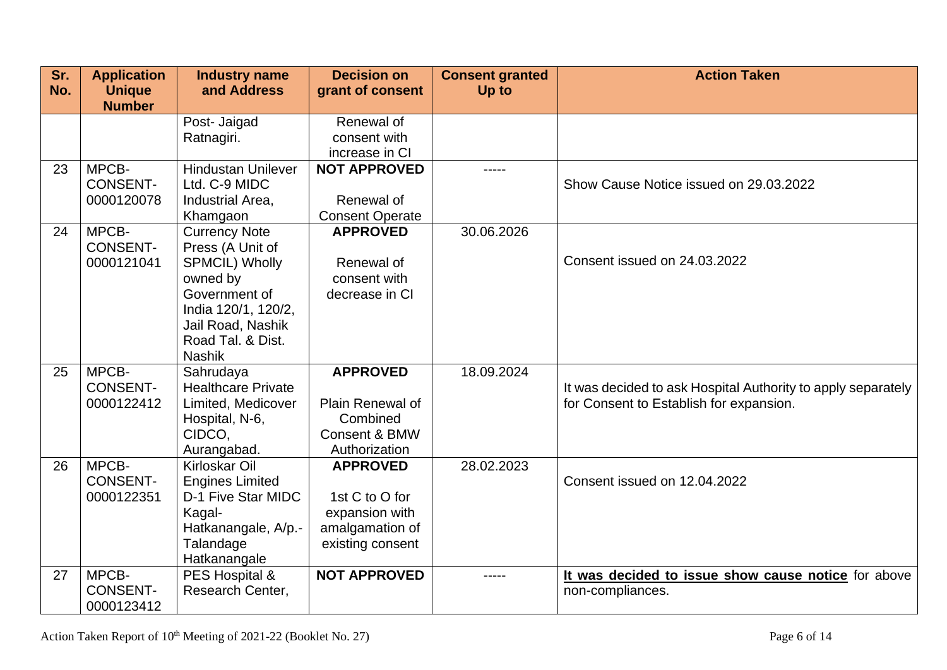| Sr.<br>No. | <b>Application</b><br><b>Unique</b>    | <b>Industry name</b><br>and Address                                                                                                                                              | <b>Decision on</b><br>grant of consent                                                     | <b>Consent granted</b><br>Up to | <b>Action Taken</b>                                                                                     |
|------------|----------------------------------------|----------------------------------------------------------------------------------------------------------------------------------------------------------------------------------|--------------------------------------------------------------------------------------------|---------------------------------|---------------------------------------------------------------------------------------------------------|
|            | <b>Number</b>                          |                                                                                                                                                                                  |                                                                                            |                                 |                                                                                                         |
|            |                                        | Post- Jaigad<br>Ratnagiri.                                                                                                                                                       | Renewal of<br>consent with<br>increase in CI                                               |                                 |                                                                                                         |
| 23         | MPCB-<br><b>CONSENT-</b><br>0000120078 | <b>Hindustan Unilever</b><br>Ltd. C-9 MIDC<br>Industrial Area,<br>Khamgaon                                                                                                       | <b>NOT APPROVED</b><br>Renewal of<br><b>Consent Operate</b>                                | -----                           | Show Cause Notice issued on 29.03.2022                                                                  |
| 24         | MPCB-<br><b>CONSENT-</b><br>0000121041 | <b>Currency Note</b><br>Press (A Unit of<br><b>SPMCIL) Wholly</b><br>owned by<br>Government of<br>India 120/1, 120/2,<br>Jail Road, Nashik<br>Road Tal. & Dist.<br><b>Nashik</b> | <b>APPROVED</b><br>Renewal of<br>consent with<br>decrease in CI                            | 30.06.2026                      | Consent issued on 24.03.2022                                                                            |
| 25         | MPCB-<br><b>CONSENT-</b><br>0000122412 | Sahrudaya<br><b>Healthcare Private</b><br>Limited, Medicover<br>Hospital, N-6,<br>CIDCO,<br>Aurangabad.                                                                          | <b>APPROVED</b><br>Plain Renewal of<br>Combined<br>Consent & BMW<br>Authorization          | 18.09.2024                      | It was decided to ask Hospital Authority to apply separately<br>for Consent to Establish for expansion. |
| 26         | MPCB-<br><b>CONSENT-</b><br>0000122351 | <b>Kirloskar Oil</b><br><b>Engines Limited</b><br>D-1 Five Star MIDC<br>Kagal-<br>Hatkanangale, A/p.-<br>Talandage<br>Hatkanangale                                               | <b>APPROVED</b><br>1st C to O for<br>expansion with<br>amalgamation of<br>existing consent | 28.02.2023                      | Consent issued on 12.04.2022                                                                            |
| 27         | MPCB-<br><b>CONSENT-</b><br>0000123412 | PES Hospital &<br>Research Center,                                                                                                                                               | <b>NOT APPROVED</b>                                                                        |                                 | It was decided to issue show cause notice for above<br>non-compliances.                                 |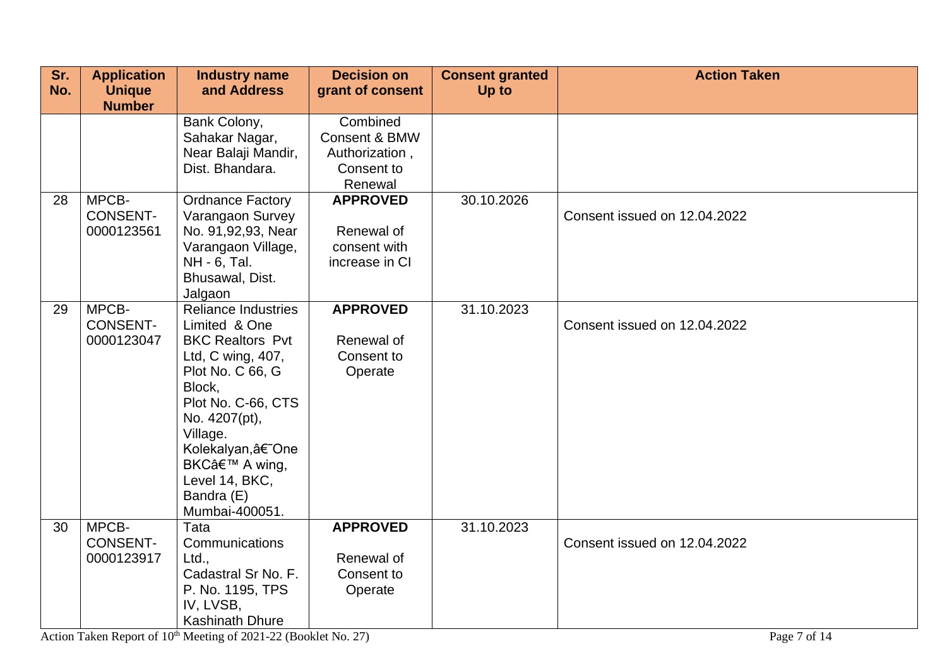| Sr. | <b>Application</b>                     | <b>Industry name</b>                                                                                                                                                                                                                                               | <b>Decision on</b>                                                   | <b>Consent granted</b> | <b>Action Taken</b>          |
|-----|----------------------------------------|--------------------------------------------------------------------------------------------------------------------------------------------------------------------------------------------------------------------------------------------------------------------|----------------------------------------------------------------------|------------------------|------------------------------|
| No. | <b>Unique</b><br><b>Number</b>         | and Address                                                                                                                                                                                                                                                        | grant of consent                                                     | Up to                  |                              |
|     |                                        | Bank Colony,<br>Sahakar Nagar,<br>Near Balaji Mandir,<br>Dist. Bhandara.                                                                                                                                                                                           | Combined<br>Consent & BMW<br>Authorization,<br>Consent to<br>Renewal |                        |                              |
| 28  | MPCB-<br><b>CONSENT-</b><br>0000123561 | <b>Ordnance Factory</b><br>Varangaon Survey<br>No. 91,92,93, Near<br>Varangaon Village,<br>NH - 6, Tal.<br>Bhusawal, Dist.<br>Jalgaon                                                                                                                              | <b>APPROVED</b><br>Renewal of<br>consent with<br>increase in CI      | 30.10.2026             | Consent issued on 12.04.2022 |
| 29  | MPCB-<br><b>CONSENT-</b><br>0000123047 | <b>Reliance Industries</b><br>Limited & One<br><b>BKC Realtors Pvt</b><br>Ltd, C wing, 407,<br>Plot No. C 66, G<br>Block,<br>Plot No. C-66, CTS<br>No. 4207(pt),<br>Village.<br>Kolekalyan, †One<br>BKC' A wing,<br>Level 14, BKC,<br>Bandra (E)<br>Mumbai-400051. | <b>APPROVED</b><br>Renewal of<br>Consent to<br>Operate               | 31.10.2023             | Consent issued on 12.04.2022 |
| 30  | MPCB-<br><b>CONSENT-</b><br>0000123917 | Tata<br>Communications<br>Ltd.,<br>Cadastral Sr No. F.<br>P. No. 1195, TPS<br>IV, LVSB,<br><b>Kashinath Dhure</b>                                                                                                                                                  | <b>APPROVED</b><br>Renewal of<br>Consent to<br>Operate               | 31.10.2023             | Consent issued on 12.04.2022 |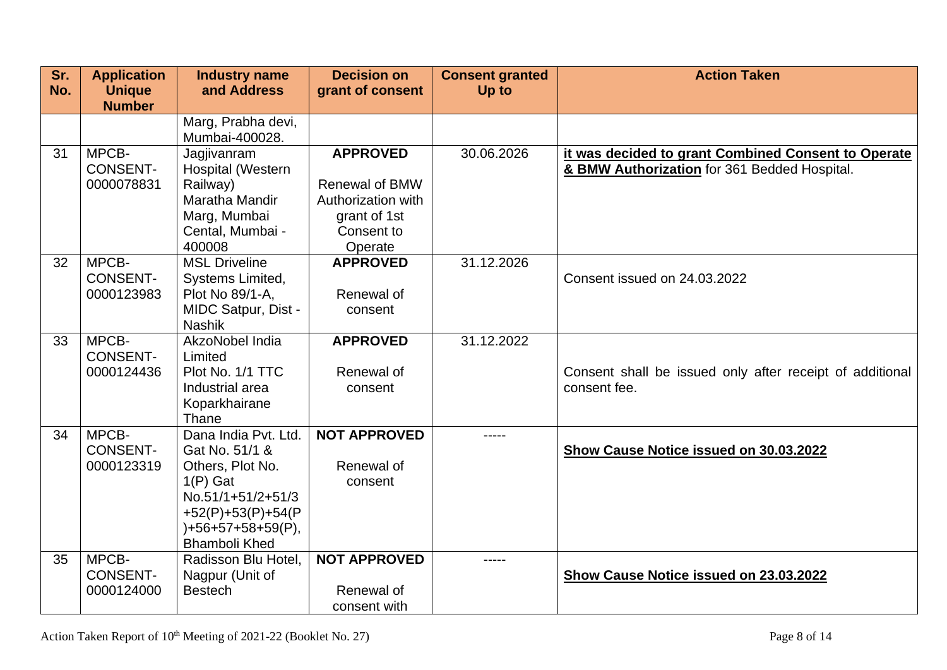| Sr.<br>No. | <b>Application</b><br><b>Unique</b> | <b>Industry name</b><br>and Address      | <b>Decision on</b><br>grant of consent | <b>Consent granted</b><br>Up to | <b>Action Taken</b>                                                                                 |
|------------|-------------------------------------|------------------------------------------|----------------------------------------|---------------------------------|-----------------------------------------------------------------------------------------------------|
|            | <b>Number</b>                       |                                          |                                        |                                 |                                                                                                     |
|            |                                     | Marg, Prabha devi,<br>Mumbai-400028.     |                                        |                                 |                                                                                                     |
| 31         | MPCB-<br><b>CONSENT-</b>            | Jagjivanram<br><b>Hospital (Western</b>  | <b>APPROVED</b>                        | 30.06.2026                      | it was decided to grant Combined Consent to Operate<br>& BMW Authorization for 361 Bedded Hospital. |
|            | 0000078831                          | Railway)                                 | <b>Renewal of BMW</b>                  |                                 |                                                                                                     |
|            |                                     | Maratha Mandir                           | Authorization with                     |                                 |                                                                                                     |
|            |                                     | Marg, Mumbai                             | grant of 1st                           |                                 |                                                                                                     |
|            |                                     | Cental, Mumbai -                         | Consent to                             |                                 |                                                                                                     |
|            |                                     | 400008                                   | Operate                                |                                 |                                                                                                     |
| 32         | MPCB-<br><b>CONSENT-</b>            | <b>MSL Driveline</b><br>Systems Limited, | <b>APPROVED</b>                        | 31.12.2026                      | Consent issued on 24.03.2022                                                                        |
|            | 0000123983                          | Plot No 89/1-A,                          | Renewal of                             |                                 |                                                                                                     |
|            |                                     | <b>MIDC Satpur, Dist -</b>               | consent                                |                                 |                                                                                                     |
|            |                                     | <b>Nashik</b>                            |                                        |                                 |                                                                                                     |
| 33         | MPCB-                               | AkzoNobel India                          | <b>APPROVED</b>                        | 31.12.2022                      |                                                                                                     |
|            | <b>CONSENT-</b>                     | Limited                                  |                                        |                                 |                                                                                                     |
|            | 0000124436                          | Plot No. 1/1 TTC                         | Renewal of                             |                                 | Consent shall be issued only after receipt of additional                                            |
|            |                                     | Industrial area<br>Koparkhairane         | consent                                |                                 | consent fee.                                                                                        |
|            |                                     | Thane                                    |                                        |                                 |                                                                                                     |
| 34         | MPCB-                               | Dana India Pvt. Ltd.                     | <b>NOT APPROVED</b>                    | -----                           |                                                                                                     |
|            | <b>CONSENT-</b>                     | Gat No. 51/1 &                           |                                        |                                 | Show Cause Notice issued on 30.03.2022                                                              |
|            | 0000123319                          | Others, Plot No.                         | Renewal of                             |                                 |                                                                                                     |
|            |                                     | $1(P)$ Gat                               | consent                                |                                 |                                                                                                     |
|            |                                     | No.51/1+51/2+51/3                        |                                        |                                 |                                                                                                     |
|            |                                     | +52(P)+53(P)+54(P<br>)+56+57+58+59(P),   |                                        |                                 |                                                                                                     |
|            |                                     | <b>Bhamboli Khed</b>                     |                                        |                                 |                                                                                                     |
| 35         | MPCB-                               | Radisson Blu Hotel,                      | <b>NOT APPROVED</b>                    | -----                           |                                                                                                     |
|            | <b>CONSENT-</b>                     | Nagpur (Unit of                          |                                        |                                 | Show Cause Notice issued on 23.03.2022                                                              |
|            | 0000124000                          | <b>Bestech</b>                           | Renewal of                             |                                 |                                                                                                     |
|            |                                     |                                          | consent with                           |                                 |                                                                                                     |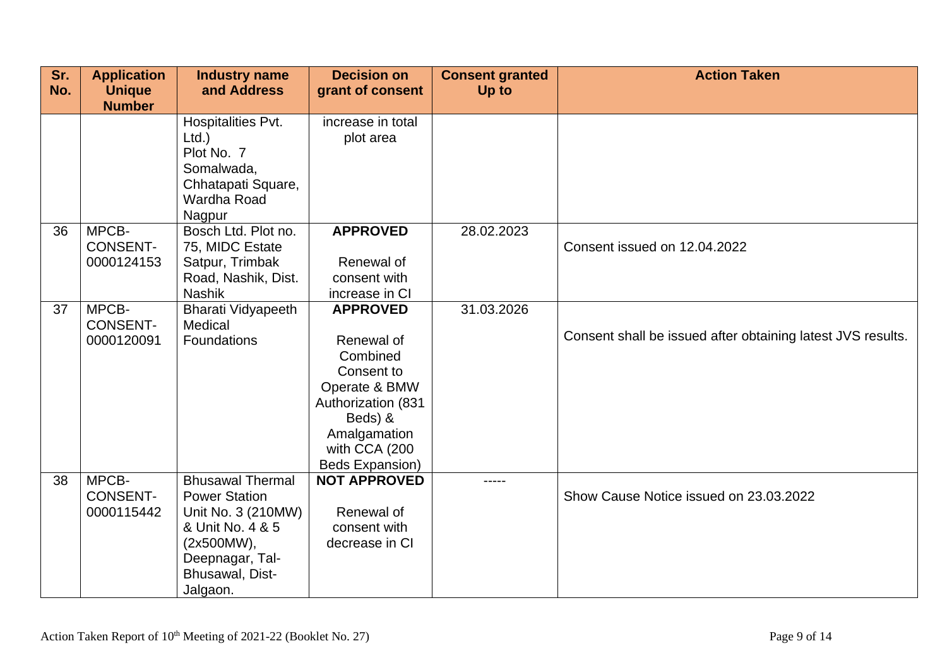| Sr.<br>No. | <b>Application</b><br><b>Unique</b>    | <b>Industry name</b><br>and Address                                                                                                                       | <b>Decision on</b><br>grant of consent                                                                                                                        | <b>Consent granted</b><br>Up to | <b>Action Taken</b>                                         |
|------------|----------------------------------------|-----------------------------------------------------------------------------------------------------------------------------------------------------------|---------------------------------------------------------------------------------------------------------------------------------------------------------------|---------------------------------|-------------------------------------------------------------|
|            | <b>Number</b>                          | Hospitalities Pvt.<br>$Ltd.$ )<br>Plot No. 7<br>Somalwada,<br>Chhatapati Square,<br>Wardha Road<br>Nagpur                                                 | increase in total<br>plot area                                                                                                                                |                                 |                                                             |
| 36         | MPCB-<br><b>CONSENT-</b><br>0000124153 | Bosch Ltd. Plot no.<br>75, MIDC Estate<br>Satpur, Trimbak<br>Road, Nashik, Dist.<br><b>Nashik</b>                                                         | <b>APPROVED</b><br>Renewal of<br>consent with<br>increase in CI                                                                                               | 28.02.2023                      | Consent issued on 12.04.2022                                |
| 37         | MPCB-<br><b>CONSENT-</b><br>0000120091 | <b>Bharati Vidyapeeth</b><br>Medical<br>Foundations                                                                                                       | <b>APPROVED</b><br>Renewal of<br>Combined<br>Consent to<br>Operate & BMW<br>Authorization (831<br>Beds) &<br>Amalgamation<br>with CCA (200<br>Beds Expansion) | 31.03.2026                      | Consent shall be issued after obtaining latest JVS results. |
| 38         | MPCB-<br><b>CONSENT-</b><br>0000115442 | <b>Bhusawal Thermal</b><br><b>Power Station</b><br>Unit No. 3 (210MW)<br>& Unit No. 4 & 5<br>(2x500MW),<br>Deepnagar, Tal-<br>Bhusawal, Dist-<br>Jalgaon. | <b>NOT APPROVED</b><br>Renewal of<br>consent with<br>decrease in CI                                                                                           | -----                           | Show Cause Notice issued on 23.03.2022                      |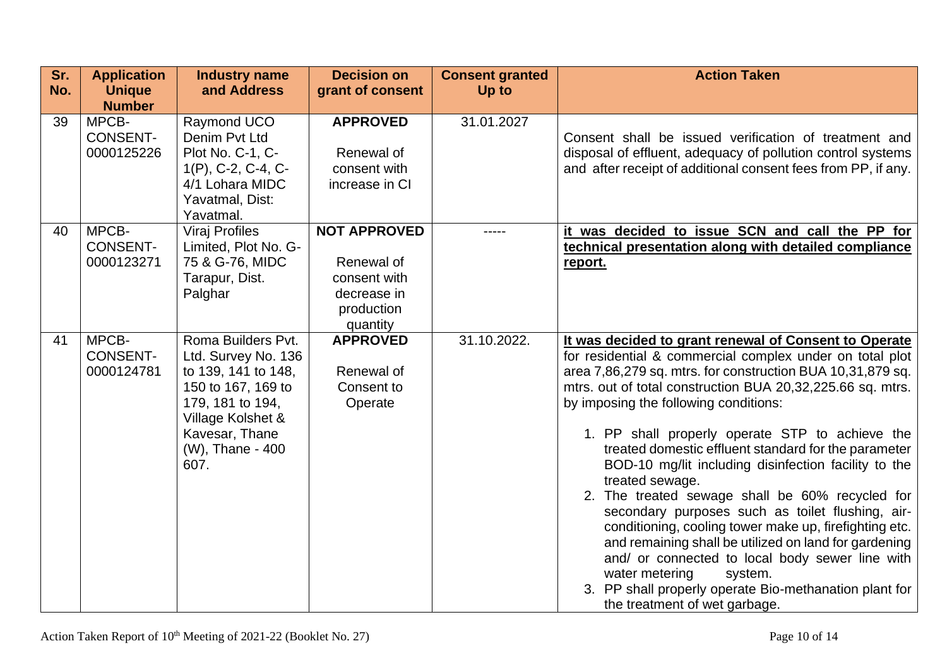| Sr.<br>No. | <b>Application</b><br><b>Unique</b><br><b>Number</b> | <b>Industry name</b><br>and Address                                                                                                                                           | <b>Decision on</b><br>grant of consent                                                     | <b>Consent granted</b><br>Up to | <b>Action Taken</b>                                                                                                                                                                                                                                                                                                                                                                                                                                                                                                                                                                                                                                                                                                                                                                                                                                                               |
|------------|------------------------------------------------------|-------------------------------------------------------------------------------------------------------------------------------------------------------------------------------|--------------------------------------------------------------------------------------------|---------------------------------|-----------------------------------------------------------------------------------------------------------------------------------------------------------------------------------------------------------------------------------------------------------------------------------------------------------------------------------------------------------------------------------------------------------------------------------------------------------------------------------------------------------------------------------------------------------------------------------------------------------------------------------------------------------------------------------------------------------------------------------------------------------------------------------------------------------------------------------------------------------------------------------|
| 39         | MPCB-<br><b>CONSENT-</b><br>0000125226               | Raymond UCO<br>Denim Pyt Ltd<br>Plot No. C-1, C-<br>$1(P)$ , C-2, C-4, C-<br>4/1 Lohara MIDC<br>Yavatmal, Dist:<br>Yavatmal.                                                  | <b>APPROVED</b><br>Renewal of<br>consent with<br>increase in CI                            | 31.01.2027                      | Consent shall be issued verification of treatment and<br>disposal of effluent, adequacy of pollution control systems<br>and after receipt of additional consent fees from PP, if any.                                                                                                                                                                                                                                                                                                                                                                                                                                                                                                                                                                                                                                                                                             |
| 40         | MPCB-<br><b>CONSENT-</b><br>0000123271               | <b>Viraj Profiles</b><br>Limited, Plot No. G-<br>75 & G-76, MIDC<br>Tarapur, Dist.<br>Palghar                                                                                 | <b>NOT APPROVED</b><br>Renewal of<br>consent with<br>decrease in<br>production<br>quantity |                                 | it was decided to issue SCN and call the PP for<br>technical presentation along with detailed compliance<br>report.                                                                                                                                                                                                                                                                                                                                                                                                                                                                                                                                                                                                                                                                                                                                                               |
| 41         | MPCB-<br><b>CONSENT-</b><br>0000124781               | Roma Builders Pvt.<br>Ltd. Survey No. 136<br>to 139, 141 to 148,<br>150 to 167, 169 to<br>179, 181 to 194,<br>Village Kolshet &<br>Kavesar, Thane<br>(W), Thane - 400<br>607. | <b>APPROVED</b><br>Renewal of<br>Consent to<br>Operate                                     | 31.10.2022.                     | It was decided to grant renewal of Consent to Operate<br>for residential & commercial complex under on total plot<br>area 7,86,279 sq. mtrs. for construction BUA 10,31,879 sq.<br>mtrs. out of total construction BUA 20,32,225.66 sq. mtrs.<br>by imposing the following conditions:<br>1. PP shall properly operate STP to achieve the<br>treated domestic effluent standard for the parameter<br>BOD-10 mg/lit including disinfection facility to the<br>treated sewage.<br>2. The treated sewage shall be 60% recycled for<br>secondary purposes such as toilet flushing, air-<br>conditioning, cooling tower make up, firefighting etc.<br>and remaining shall be utilized on land for gardening<br>and/ or connected to local body sewer line with<br>water metering<br>system.<br>3. PP shall properly operate Bio-methanation plant for<br>the treatment of wet garbage. |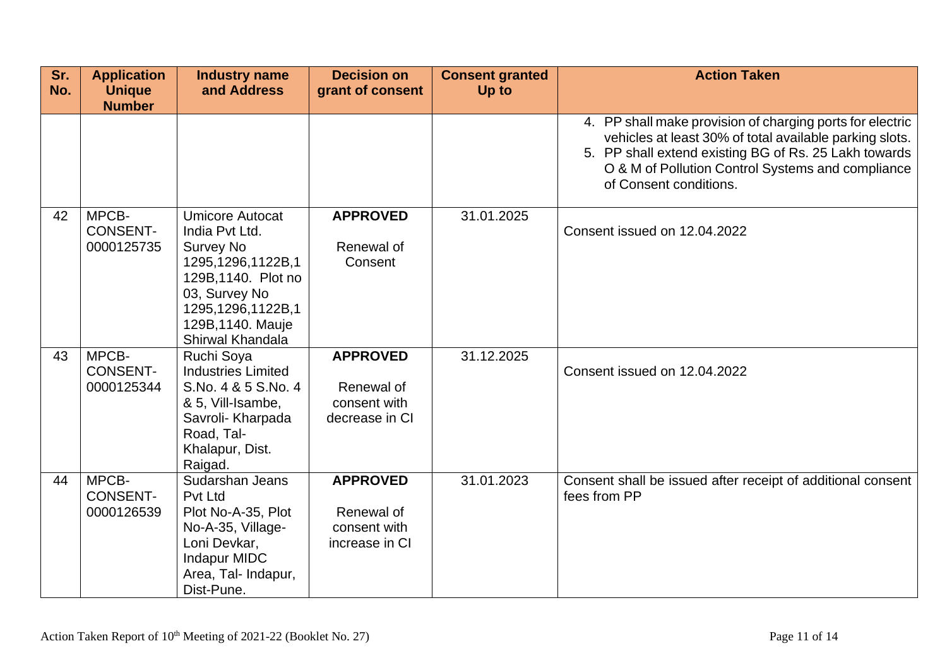| Sr.<br>No. | <b>Application</b><br><b>Unique</b><br><b>Number</b> | <b>Industry name</b><br>and Address                                                                                                                                                     | <b>Decision on</b><br>grant of consent                          | <b>Consent granted</b><br>Up to | <b>Action Taken</b>                                                                                                                                                                                                                                          |
|------------|------------------------------------------------------|-----------------------------------------------------------------------------------------------------------------------------------------------------------------------------------------|-----------------------------------------------------------------|---------------------------------|--------------------------------------------------------------------------------------------------------------------------------------------------------------------------------------------------------------------------------------------------------------|
|            |                                                      |                                                                                                                                                                                         |                                                                 |                                 | 4. PP shall make provision of charging ports for electric<br>vehicles at least 30% of total available parking slots.<br>5. PP shall extend existing BG of Rs. 25 Lakh towards<br>O & M of Pollution Control Systems and compliance<br>of Consent conditions. |
| 42         | MPCB-<br><b>CONSENT-</b><br>0000125735               | <b>Umicore Autocat</b><br>India Pvt Ltd.<br><b>Survey No</b><br>1295,1296,1122B,1<br>129B, 1140. Plot no<br>03, Survey No<br>1295,1296,1122B,1<br>129B, 1140. Mauje<br>Shirwal Khandala | <b>APPROVED</b><br>Renewal of<br>Consent                        | 31.01.2025                      | Consent issued on 12.04.2022                                                                                                                                                                                                                                 |
| 43         | MPCB-<br><b>CONSENT-</b><br>0000125344               | Ruchi Soya<br><b>Industries Limited</b><br>S.No. 4 & 5 S.No. 4<br>& 5, Vill-Isambe,<br>Savroli- Kharpada<br>Road, Tal-<br>Khalapur, Dist.<br>Raigad.                                    | <b>APPROVED</b><br>Renewal of<br>consent with<br>decrease in CI | 31.12.2025                      | Consent issued on 12.04.2022                                                                                                                                                                                                                                 |
| 44         | MPCB-<br><b>CONSENT-</b><br>0000126539               | Sudarshan Jeans<br>Pvt Ltd<br>Plot No-A-35, Plot<br>No-A-35, Village-<br>Loni Devkar,<br><b>Indapur MIDC</b><br>Area, Tal- Indapur,<br>Dist-Pune.                                       | <b>APPROVED</b><br>Renewal of<br>consent with<br>increase in CI | 31.01.2023                      | Consent shall be issued after receipt of additional consent<br>fees from PP                                                                                                                                                                                  |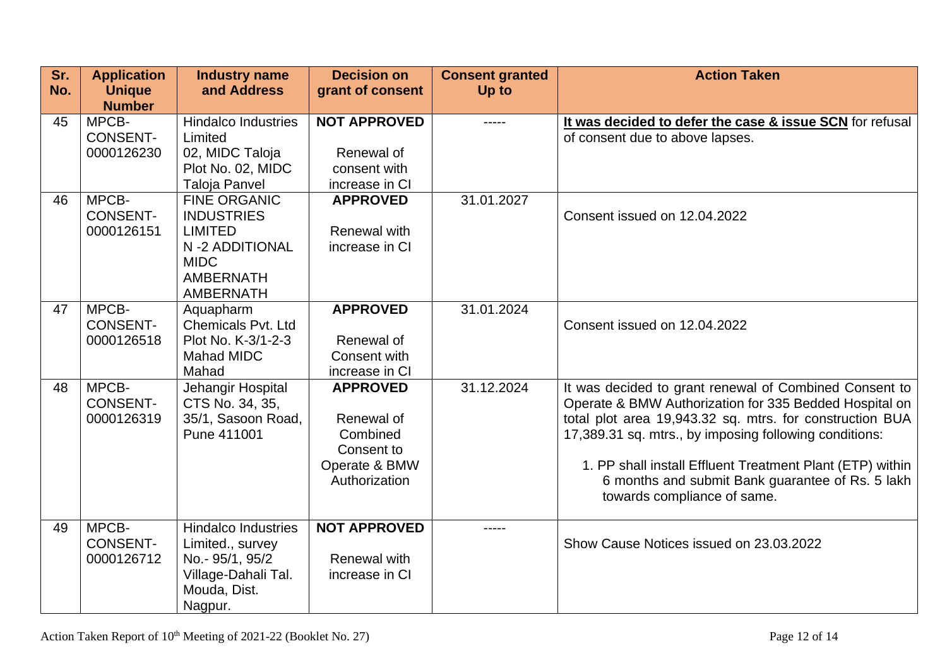| Sr.<br>No. | <b>Application</b><br><b>Unique</b>    | <b>Industry name</b><br>and Address                                                                                                 | <b>Decision on</b><br>grant of consent                                                    | <b>Consent granted</b><br>Up to | <b>Action Taken</b>                                                                                                                                                                                                                                                                                                                                                                    |
|------------|----------------------------------------|-------------------------------------------------------------------------------------------------------------------------------------|-------------------------------------------------------------------------------------------|---------------------------------|----------------------------------------------------------------------------------------------------------------------------------------------------------------------------------------------------------------------------------------------------------------------------------------------------------------------------------------------------------------------------------------|
|            | <b>Number</b>                          |                                                                                                                                     |                                                                                           |                                 |                                                                                                                                                                                                                                                                                                                                                                                        |
| 45         | MPCB-<br><b>CONSENT-</b><br>0000126230 | <b>Hindalco Industries</b><br>Limited<br>02, MIDC Taloja<br>Plot No. 02, MIDC<br><b>Taloja Panvel</b>                               | <b>NOT APPROVED</b><br>Renewal of<br>consent with<br>increase in CI                       | -----                           | It was decided to defer the case & issue SCN for refusal<br>of consent due to above lapses.                                                                                                                                                                                                                                                                                            |
| 46         | MPCB-<br><b>CONSENT-</b><br>0000126151 | <b>FINE ORGANIC</b><br><b>INDUSTRIES</b><br><b>LIMITED</b><br>N-2 ADDITIONAL<br><b>MIDC</b><br><b>AMBERNATH</b><br><b>AMBERNATH</b> | <b>APPROVED</b><br>Renewal with<br>increase in CI                                         | 31.01.2027                      | Consent issued on 12.04.2022                                                                                                                                                                                                                                                                                                                                                           |
| 47         | MPCB-<br><b>CONSENT-</b><br>0000126518 | Aquapharm<br><b>Chemicals Pvt. Ltd</b><br>Plot No. K-3/1-2-3<br><b>Mahad MIDC</b><br>Mahad                                          | <b>APPROVED</b><br>Renewal of<br>Consent with<br>increase in CI                           | 31.01.2024                      | Consent issued on 12.04.2022                                                                                                                                                                                                                                                                                                                                                           |
| 48         | MPCB-<br><b>CONSENT-</b><br>0000126319 | Jehangir Hospital<br>CTS No. 34, 35,<br>35/1, Sasoon Road,<br>Pune 411001                                                           | <b>APPROVED</b><br>Renewal of<br>Combined<br>Consent to<br>Operate & BMW<br>Authorization | 31.12.2024                      | It was decided to grant renewal of Combined Consent to<br>Operate & BMW Authorization for 335 Bedded Hospital on<br>total plot area 19,943.32 sq. mtrs. for construction BUA<br>17,389.31 sq. mtrs., by imposing following conditions:<br>1. PP shall install Effluent Treatment Plant (ETP) within<br>6 months and submit Bank guarantee of Rs. 5 lakh<br>towards compliance of same. |
| 49         | MPCB-<br><b>CONSENT-</b><br>0000126712 | <b>Hindalco Industries</b><br>Limited., survey<br>No.- 95/1, 95/2<br>Village-Dahali Tal.<br>Mouda, Dist.<br>Nagpur.                 | <b>NOT APPROVED</b><br><b>Renewal with</b><br>increase in CI                              | -----                           | Show Cause Notices issued on 23.03.2022                                                                                                                                                                                                                                                                                                                                                |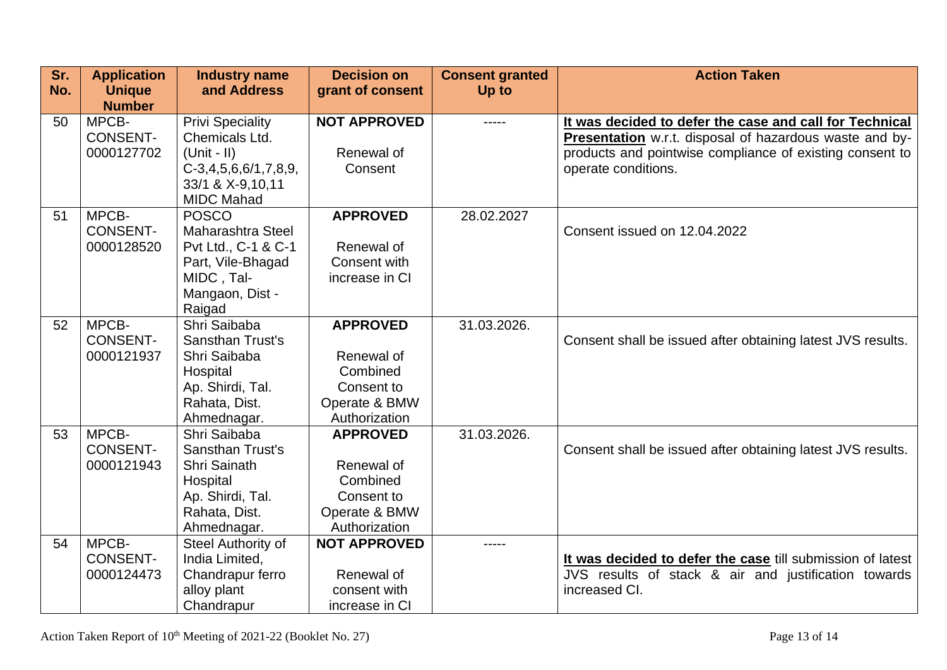| Sr. | <b>Application</b> | <b>Industry name</b>              | <b>Decision on</b>  | <b>Consent granted</b> | <b>Action Taken</b>                                         |
|-----|--------------------|-----------------------------------|---------------------|------------------------|-------------------------------------------------------------|
| No. | <b>Unique</b>      | and Address                       | grant of consent    | Up to                  |                                                             |
|     | <b>Number</b>      |                                   |                     |                        |                                                             |
| 50  | MPCB-              | <b>Privi Speciality</b>           | <b>NOT APPROVED</b> | -----                  | It was decided to defer the case and call for Technical     |
|     | <b>CONSENT-</b>    | Chemicals Ltd.                    |                     |                        | Presentation w.r.t. disposal of hazardous waste and by-     |
|     | 0000127702         | $(Unit - II)$                     | Renewal of          |                        | products and pointwise compliance of existing consent to    |
|     |                    | $C-3,4,5,6,6/1,7,8,9,$            | Consent             |                        | operate conditions.                                         |
|     |                    | 33/1 & X-9,10,11                  |                     |                        |                                                             |
|     |                    | <b>MIDC Mahad</b>                 |                     |                        |                                                             |
| 51  | MPCB-              | <b>POSCO</b>                      | <b>APPROVED</b>     | 28.02.2027             |                                                             |
|     | <b>CONSENT-</b>    | <b>Maharashtra Steel</b>          |                     |                        | Consent issued on 12.04.2022                                |
|     | 0000128520         | Pvt Ltd., C-1 & C-1               | Renewal of          |                        |                                                             |
|     |                    | Part, Vile-Bhagad                 | Consent with        |                        |                                                             |
|     |                    | MIDC, Tal-                        | increase in CI      |                        |                                                             |
|     |                    | Mangaon, Dist -                   |                     |                        |                                                             |
|     |                    | Raigad                            |                     |                        |                                                             |
| 52  | MPCB-              | Shri Saibaba                      | <b>APPROVED</b>     | 31.03.2026.            |                                                             |
|     | <b>CONSENT-</b>    | <b>Sansthan Trust's</b>           |                     |                        | Consent shall be issued after obtaining latest JVS results. |
|     | 0000121937         | Shri Saibaba                      | Renewal of          |                        |                                                             |
|     |                    | Hospital                          | Combined            |                        |                                                             |
|     |                    | Ap. Shirdi, Tal.                  | Consent to          |                        |                                                             |
|     |                    | Rahata, Dist.                     | Operate & BMW       |                        |                                                             |
|     |                    | Ahmednagar.                       | Authorization       |                        |                                                             |
| 53  | MPCB-              | Shri Saibaba                      | <b>APPROVED</b>     | 31.03.2026.            |                                                             |
|     | <b>CONSENT-</b>    | <b>Sansthan Trust's</b>           | Renewal of          |                        | Consent shall be issued after obtaining latest JVS results. |
|     | 0000121943         | Shri Sainath                      | Combined            |                        |                                                             |
|     |                    | Hospital                          | Consent to          |                        |                                                             |
|     |                    | Ap. Shirdi, Tal.<br>Rahata, Dist. | Operate & BMW       |                        |                                                             |
|     |                    | Ahmednagar.                       | Authorization       |                        |                                                             |
| 54  | MPCB-              | Steel Authority of                | <b>NOT APPROVED</b> | -----                  |                                                             |
|     | <b>CONSENT-</b>    | India Limited,                    |                     |                        | It was decided to defer the case till submission of latest  |
|     | 0000124473         | Chandrapur ferro                  | Renewal of          |                        | JVS results of stack & air and justification towards        |
|     |                    | alloy plant                       | consent with        |                        | increased CI.                                               |
|     |                    | Chandrapur                        | increase in CI      |                        |                                                             |